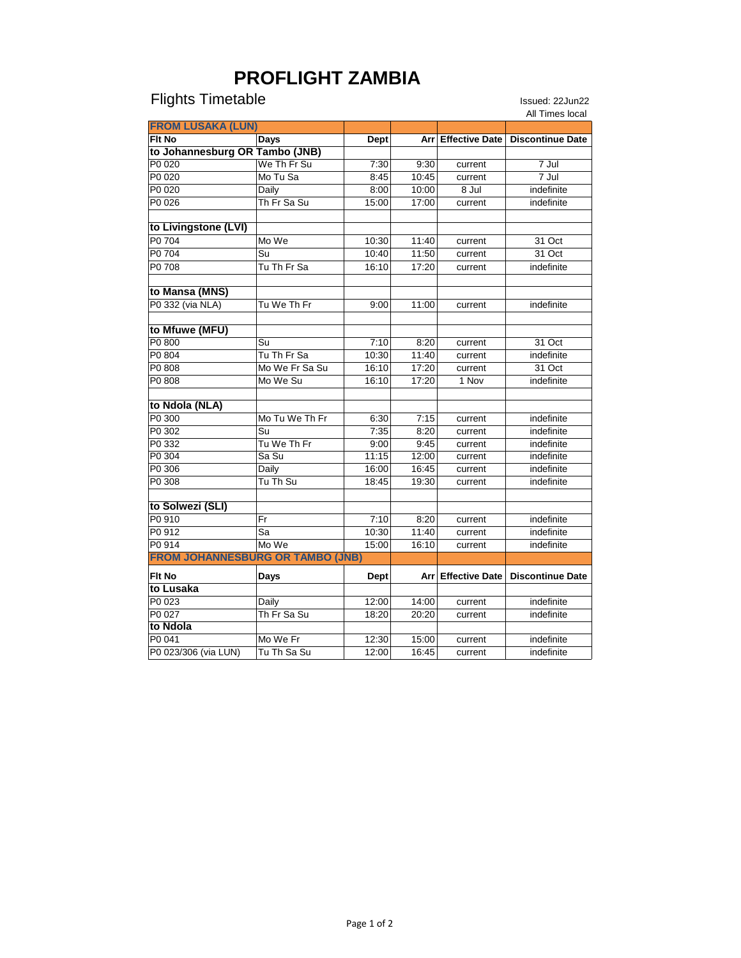## **PROFLIGHT ZAMBIA**

## Flights Timetable **Issued: 22Jun22**

|                                         |                |             |       |         | All Times local                          |
|-----------------------------------------|----------------|-------------|-------|---------|------------------------------------------|
| <b>FROM LUSAKA (LUN)</b>                |                |             |       |         |                                          |
| Flt No                                  | Days           | Dept        | Arr   |         | Effective Date   Discontinue Date        |
| to Johannesburg OR Tambo (JNB)          |                |             |       |         |                                          |
| P0 020                                  | We Th Fr Su    | 7:30        | 9:30  | current | 7 Jul                                    |
| P0 020                                  | Mo Tu Sa       | 8:45        | 10:45 | current | $7$ Jul                                  |
| P0 020                                  | Daily          | 8:00        | 10:00 | 8 Jul   | <i>indefinite</i>                        |
| P0 026                                  | Th Fr Sa Su    | 15:00       | 17:00 | current | indefinite                               |
|                                         |                |             |       |         |                                          |
| to Livingstone (LVI)                    |                |             |       |         |                                          |
| P0 704                                  | Mo We          | 10:30       | 11:40 | current | 31 Oct                                   |
| P0 704                                  | Su             | 10:40       | 11:50 | current | 31 Oct                                   |
| P0 708                                  | Tu Th Fr Sa    | 16:10       | 17:20 | current | indefinite                               |
|                                         |                |             |       |         |                                          |
| to Mansa (MNS)                          |                |             |       |         |                                          |
| P0 332 (via NLA)                        | Tu We Th Fr    | 9:00        | 11:00 | current | indefinite                               |
|                                         |                |             |       |         |                                          |
| to Mfuwe (MFU)                          |                |             |       |         |                                          |
| P0 800                                  | Su             | 7:10        | 8:20  | current | 31 Oct                                   |
| P0 804                                  | Tu Th Fr Sa    | 10:30       | 11:40 | current | indefinite                               |
| P0 808                                  | Mo We Fr Sa Su | 16:10       | 17:20 | current | 31 Oct                                   |
| P0 808                                  | Mo We Su       | 16:10       | 17:20 | 1 Nov   | indefinite                               |
|                                         |                |             |       |         |                                          |
| to Ndola (NLA)                          |                |             |       |         |                                          |
| P0 300                                  | Mo Tu We Th Fr | 6:30        | 7:15  | current | indefinite                               |
| P0 302                                  | Su             | 7:35        | 8:20  | current | indefinite                               |
| P0 332                                  | Tu We Th Fr    | 9:00        | 9:45  | current | indefinite                               |
| P0 304                                  | Sa Su          | 11:15       | 12:00 | current | indefinite                               |
| P0 306                                  | Daily          | 16:00       | 16:45 | current | indefinite                               |
| P0 308                                  | Tu Th Su       | 18:45       | 19:30 | current | indefinite                               |
|                                         |                |             |       |         |                                          |
| to Solwezi (SLI)                        |                |             |       |         |                                          |
| P0 910                                  | Fr             | 7:10        | 8:20  | current | indefinite                               |
| P0 912                                  | Sa             | 10:30       | 11:40 | current | indefinite                               |
| P0 914                                  | Mo We          | 15:00       | 16:10 | current | indefinite                               |
| <b>FROM JOHANNESBURG OR TAMBO (JNB)</b> |                |             |       |         |                                          |
| Fit No                                  | Days           | <b>Dept</b> | Arr   |         | <b>Effective Date   Discontinue Date</b> |
| to Lusaka                               |                |             |       |         |                                          |
| P0 023                                  | Daily          | 12:00       | 14:00 | current | indefinite                               |
| P0 027                                  | Th Fr Sa Su    | 18:20       | 20:20 | current | indefinite                               |
| to Ndola                                |                |             |       |         |                                          |
| P0 041                                  | Mo We Fr       | 12:30       | 15:00 | current | indefinite                               |
| P0 023/306 (via LUN)                    | Tu Th Sa Su    | 12:00       | 16:45 | current | indefinite                               |